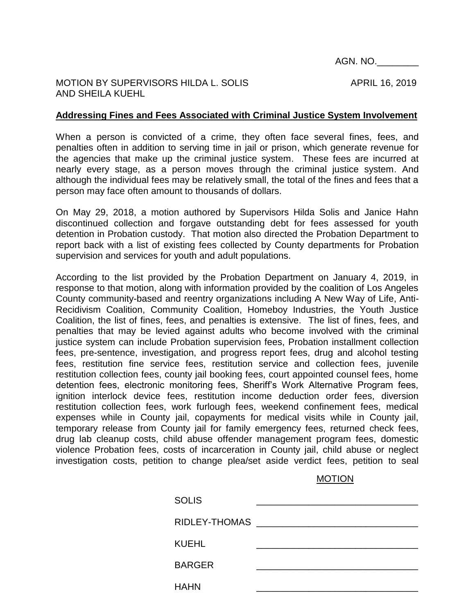AGN. NO.\_\_\_\_\_\_\_\_

## MOTION BY SUPERVISORS HILDA L. SOLIS APRIL 16, 2019 AND SHEILA KUEHL

## **Addressing Fines and Fees Associated with Criminal Justice System Involvement**

When a person is convicted of a crime, they often face several fines, fees, and penalties often in addition to serving time in jail or prison, which generate revenue for the agencies that make up the criminal justice system. These fees are incurred at nearly every stage, as a person moves through the criminal justice system. And although the individual fees may be relatively small, the total of the fines and fees that a person may face often amount to thousands of dollars.

On May 29, 2018, a motion authored by Supervisors Hilda Solis and Janice Hahn discontinued collection and forgave outstanding debt for fees assessed for youth detention in Probation custody. That motion also directed the Probation Department to report back with a list of existing fees collected by County departments for Probation supervision and services for youth and adult populations.

According to the list provided by the Probation Department on January 4, 2019, in response to that motion, along with information provided by the coalition of Los Angeles County community-based and reentry organizations including A New Way of Life, Anti-Recidivism Coalition, Community Coalition, Homeboy Industries, the Youth Justice Coalition, the list of fines, fees, and penalties is extensive. The list of fines, fees, and penalties that may be levied against adults who become involved with the criminal justice system can include Probation supervision fees, Probation installment collection fees, pre-sentence, investigation, and progress report fees, drug and alcohol testing fees, restitution fine service fees, restitution service and collection fees, juvenile restitution collection fees, county jail booking fees, court appointed counsel fees, home detention fees, electronic monitoring fees, Sheriff's Work Alternative Program fees, ignition interlock device fees, restitution income deduction order fees, diversion restitution collection fees, work furlough fees, weekend confinement fees, medical expenses while in County jail, copayments for medical visits while in County jail, temporary release from County jail for family emergency fees, returned check fees, drug lab cleanup costs, child abuse offender management program fees, domestic violence Probation fees, costs of incarceration in County jail, child abuse or neglect investigation costs, petition to change plea/set aside verdict fees, petition to seal

MOTION

| <b>SOLIS</b>      |  |
|-------------------|--|
| RIDLEY-THOMAS ___ |  |
| <b>KUEHL</b>      |  |
| <b>BARGER</b>     |  |
| <b>HAHN</b>       |  |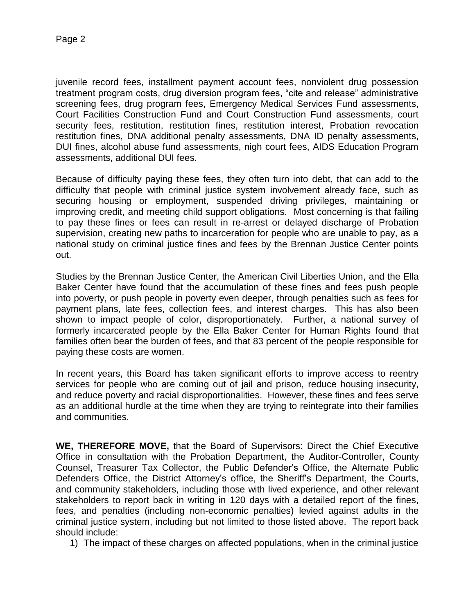juvenile record fees, installment payment account fees, nonviolent drug possession treatment program costs, drug diversion program fees, "cite and release" administrative screening fees, drug program fees, Emergency Medical Services Fund assessments, Court Facilities Construction Fund and Court Construction Fund assessments, court security fees, restitution, restitution fines, restitution interest, Probation revocation restitution fines, DNA additional penalty assessments, DNA ID penalty assessments, DUI fines, alcohol abuse fund assessments, nigh court fees, AIDS Education Program assessments, additional DUI fees.

Because of difficulty paying these fees, they often turn into debt, that can add to the difficulty that people with criminal justice system involvement already face, such as securing housing or employment, suspended driving privileges, maintaining or improving credit, and meeting child support obligations. Most concerning is that failing to pay these fines or fees can result in re-arrest or delayed discharge of Probation supervision, creating new paths to incarceration for people who are unable to pay, as a national study on criminal justice fines and fees by the Brennan Justice Center points out.

Studies by the Brennan Justice Center, the American Civil Liberties Union, and the Ella Baker Center have found that the accumulation of these fines and fees push people into poverty, or push people in poverty even deeper, through penalties such as fees for payment plans, late fees, collection fees, and interest charges. This has also been shown to impact people of color, disproportionately. Further, a national survey of formerly incarcerated people by the Ella Baker Center for Human Rights found that families often bear the burden of fees, and that 83 percent of the people responsible for paying these costs are women.

In recent years, this Board has taken significant efforts to improve access to reentry services for people who are coming out of jail and prison, reduce housing insecurity, and reduce poverty and racial disproportionalities. However, these fines and fees serve as an additional hurdle at the time when they are trying to reintegrate into their families and communities.

**WE, THEREFORE MOVE,** that the Board of Supervisors: Direct the Chief Executive Office in consultation with the Probation Department, the Auditor-Controller, County Counsel, Treasurer Tax Collector, the Public Defender's Office, the Alternate Public Defenders Office, the District Attorney's office, the Sheriff's Department, the Courts, and community stakeholders, including those with lived experience, and other relevant stakeholders to report back in writing in 120 days with a detailed report of the fines, fees, and penalties (including non-economic penalties) levied against adults in the criminal justice system, including but not limited to those listed above. The report back should include:

1) The impact of these charges on affected populations, when in the criminal justice